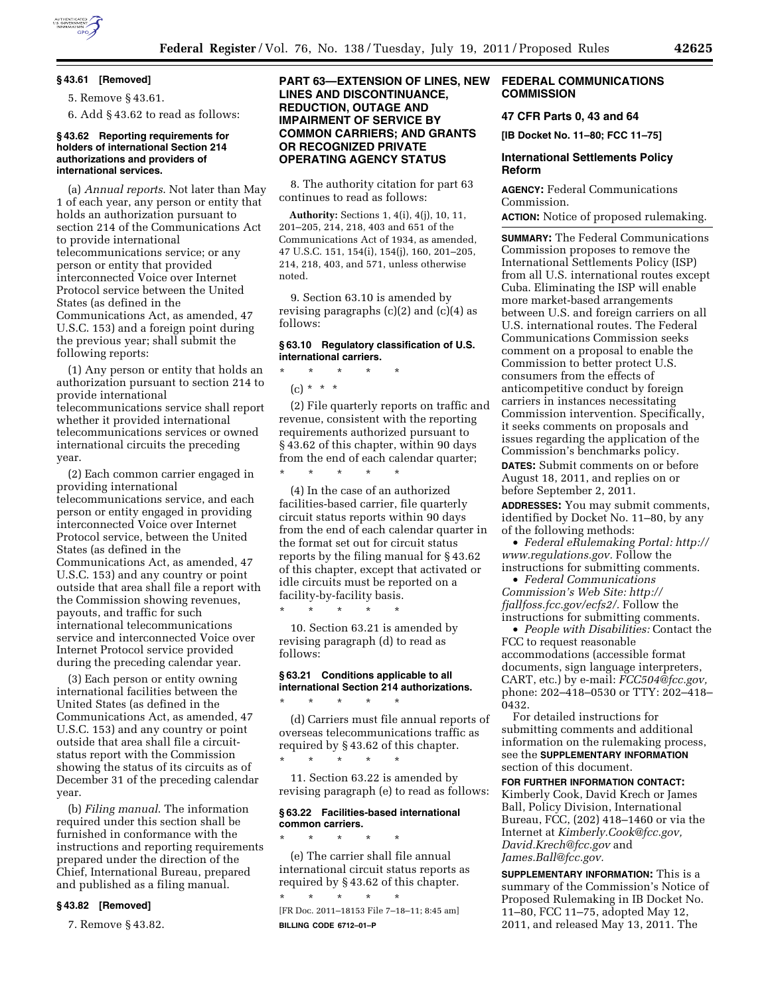

### **§ 43.61 [Removed]**

5. Remove § 43.61.

6. Add § 43.62 to read as follows:

## **§ 43.62 Reporting requirements for holders of international Section 214 authorizations and providers of international services.**

(a) *Annual reports*. Not later than May 1 of each year, any person or entity that holds an authorization pursuant to section 214 of the Communications Act to provide international telecommunications service; or any person or entity that provided interconnected Voice over Internet Protocol service between the United States (as defined in the Communications Act, as amended, 47 U.S.C. 153) and a foreign point during the previous year; shall submit the following reports:

(1) Any person or entity that holds an authorization pursuant to section 214 to provide international telecommunications service shall report whether it provided international telecommunications services or owned international circuits the preceding year.

(2) Each common carrier engaged in providing international telecommunications service, and each person or entity engaged in providing interconnected Voice over Internet Protocol service, between the United States (as defined in the Communications Act, as amended, 47 U.S.C. 153) and any country or point outside that area shall file a report with the Commission showing revenues, payouts, and traffic for such international telecommunications service and interconnected Voice over Internet Protocol service provided during the preceding calendar year.

(3) Each person or entity owning international facilities between the United States (as defined in the Communications Act, as amended, 47 U.S.C. 153) and any country or point outside that area shall file a circuitstatus report with the Commission showing the status of its circuits as of December 31 of the preceding calendar year.

(b) *Filing manual*. The information required under this section shall be furnished in conformance with the instructions and reporting requirements prepared under the direction of the Chief, International Bureau, prepared and published as a filing manual.

## **§ 43.82 [Removed]**

7. Remove § 43.82.

# **PART 63—EXTENSION OF LINES, NEW LINES AND DISCONTINUANCE, REDUCTION, OUTAGE AND IMPAIRMENT OF SERVICE BY COMMON CARRIERS; AND GRANTS OR RECOGNIZED PRIVATE OPERATING AGENCY STATUS**

8. The authority citation for part 63 continues to read as follows:

**Authority:** Sections 1, 4(i), 4(j), 10, 11, 201–205, 214, 218, 403 and 651 of the Communications Act of 1934, as amended, 47 U.S.C. 151, 154(i), 154(j), 160, 201–205, 214, 218, 403, and 571, unless otherwise noted.

9. Section 63.10 is amended by revising paragraphs  $(c)(2)$  and  $(c)(4)$  as follows:

# **§ 63.10 Regulatory classification of U.S. international carriers.**

\* \* \* \* \*

\* \* \* \* \*

\* \* \* \* \*

\* \* \* \* \*

\* \* \* \* \*

 $(c) * * * *$ 

(2) File quarterly reports on traffic and revenue, consistent with the reporting requirements authorized pursuant to § 43.62 of this chapter, within 90 days from the end of each calendar quarter;

(4) In the case of an authorized facilities-based carrier, file quarterly circuit status reports within 90 days from the end of each calendar quarter in the format set out for circuit status reports by the filing manual for § 43.62 of this chapter, except that activated or idle circuits must be reported on a facility-by-facility basis.

10. Section 63.21 is amended by revising paragraph (d) to read as follows:

## **§ 63.21 Conditions applicable to all international Section 214 authorizations.**

(d) Carriers must file annual reports of overseas telecommunications traffic as required by § 43.62 of this chapter. \* \* \* \* \*

11. Section 63.22 is amended by revising paragraph (e) to read as follows:

## **§ 63.22 Facilities-based international common carriers.**

(e) The carrier shall file annual international circuit status reports as required by § 43.62 of this chapter.

\* \* \* \* \* [FR Doc. 2011–18153 File 7–18–11; 8:45 am] **BILLING CODE 6712–01–P** 

## **FEDERAL COMMUNICATIONS COMMISSION**

# **47 CFR Parts 0, 43 and 64**

**[IB Docket No. 11–80; FCC 11–75]** 

# **International Settlements Policy Reform**

**AGENCY:** Federal Communications Commission.

**ACTION:** Notice of proposed rulemaking.

**SUMMARY:** The Federal Communications Commission proposes to remove the International Settlements Policy (ISP) from all U.S. international routes except Cuba. Eliminating the ISP will enable more market-based arrangements between U.S. and foreign carriers on all U.S. international routes. The Federal Communications Commission seeks comment on a proposal to enable the Commission to better protect U.S. consumers from the effects of anticompetitive conduct by foreign carriers in instances necessitating Commission intervention. Specifically, it seeks comments on proposals and issues regarding the application of the Commission's benchmarks policy.

**DATES:** Submit comments on or before August 18, 2011, and replies on or before September 2, 2011.

**ADDRESSES:** You may submit comments, identified by Docket No. 11–80, by any of the following methods:

• *Federal eRulemaking Portal: http:// www.regulations.gov.* Follow the instructions for submitting comments.

• *Federal Communications Commission's Web Site: http:// fjallfoss.fcc.gov/ecfs2/.* Follow the instructions for submitting comments.

• *People with Disabilities:* Contact the FCC to request reasonable accommodations (accessible format documents, sign language interpreters, CART, etc.) by e-mail: *FCC504@fcc.gov,*  phone: 202–418–0530 or TTY: 202–418– 0432.

For detailed instructions for submitting comments and additional information on the rulemaking process, see the **SUPPLEMENTARY INFORMATION** section of this document.

**FOR FURTHER INFORMATION CONTACT:**  Kimberly Cook, David Krech or James Ball, Policy Division, International Bureau, FCC, (202) 418–1460 or via the Internet at *Kimberly.Cook@fcc.gov, David.Krech@fcc.gov* and *James.Ball@fcc.gov.* 

**SUPPLEMENTARY INFORMATION:** This is a summary of the Commission's Notice of Proposed Rulemaking in IB Docket No. 11–80, FCC 11–75, adopted May 12, 2011, and released May 13, 2011. The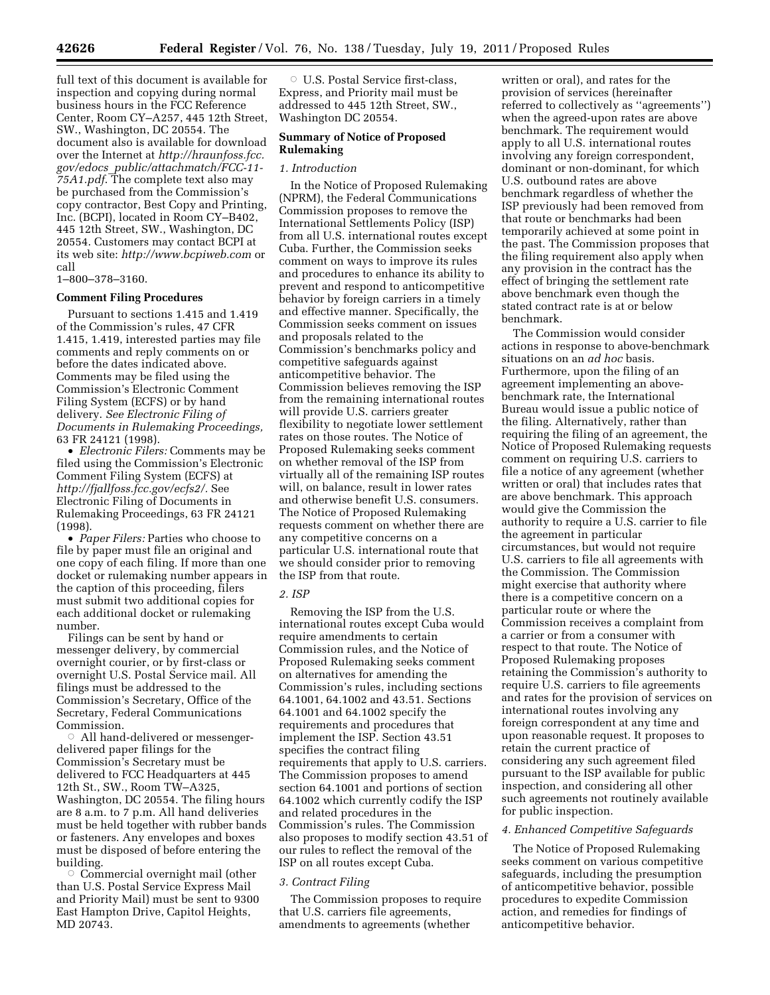full text of this document is available for inspection and copying during normal business hours in the FCC Reference Center, Room CY–A257, 445 12th Street, SW., Washington, DC 20554. The document also is available for download over the Internet at *http://hraunfoss.fcc. gov/edocs*\_*public/attachmatch/FCC-11- 75A1.pdf*. The complete text also may be purchased from the Commission's copy contractor, Best Copy and Printing, Inc. (BCPI), located in Room CY–B402, 445 12th Street, SW., Washington, DC 20554. Customers may contact BCPI at its web site: *http://www.bcpiweb.com* or call

## 1–800–378–3160.

## **Comment Filing Procedures**

Pursuant to sections 1.415 and 1.419 of the Commission's rules, 47 CFR 1.415, 1.419, interested parties may file comments and reply comments on or before the dates indicated above. Comments may be filed using the Commission's Electronic Comment Filing System (ECFS) or by hand delivery. *See Electronic Filing of Documents in Rulemaking Proceedings,*  63 FR 24121 (1998).

• *Electronic Filers:* Comments may be filed using the Commission's Electronic Comment Filing System (ECFS) at *http://fjallfoss.fcc.gov/ecfs2/.* See Electronic Filing of Documents in Rulemaking Proceedings, 63 FR 24121 (1998).

• *Paper Filers:* Parties who choose to file by paper must file an original and one copy of each filing. If more than one docket or rulemaking number appears in the caption of this proceeding, filers must submit two additional copies for each additional docket or rulemaking number.

Filings can be sent by hand or messenger delivery, by commercial overnight courier, or by first-class or overnight U.S. Postal Service mail. All filings must be addressed to the Commission's Secretary, Office of the Secretary, Federal Communications Commission.

 $\circ$  All hand-delivered or messengerdelivered paper filings for the Commission's Secretary must be delivered to FCC Headquarters at 445 12th St., SW., Room TW–A325, Washington, DC 20554. The filing hours are 8 a.m. to 7 p.m. All hand deliveries must be held together with rubber bands or fasteners. Any envelopes and boxes must be disposed of before entering the building.

 $\circ$  Commercial overnight mail (other than U.S. Postal Service Express Mail and Priority Mail) must be sent to 9300 East Hampton Drive, Capitol Heights, MD 20743.

O U.S. Postal Service first-class, Express, and Priority mail must be addressed to 445 12th Street, SW., Washington DC 20554.

# **Summary of Notice of Proposed Rulemaking**

## *1. Introduction*

In the Notice of Proposed Rulemaking (NPRM), the Federal Communications Commission proposes to remove the International Settlements Policy (ISP) from all U.S. international routes except Cuba. Further, the Commission seeks comment on ways to improve its rules and procedures to enhance its ability to prevent and respond to anticompetitive behavior by foreign carriers in a timely and effective manner. Specifically, the Commission seeks comment on issues and proposals related to the Commission's benchmarks policy and competitive safeguards against anticompetitive behavior. The Commission believes removing the ISP from the remaining international routes will provide U.S. carriers greater flexibility to negotiate lower settlement rates on those routes. The Notice of Proposed Rulemaking seeks comment on whether removal of the ISP from virtually all of the remaining ISP routes will, on balance, result in lower rates and otherwise benefit U.S. consumers. The Notice of Proposed Rulemaking requests comment on whether there are any competitive concerns on a particular U.S. international route that we should consider prior to removing the ISP from that route.

# *2. ISP*

Removing the ISP from the U.S. international routes except Cuba would require amendments to certain Commission rules, and the Notice of Proposed Rulemaking seeks comment on alternatives for amending the Commission's rules, including sections 64.1001, 64.1002 and 43.51. Sections 64.1001 and 64.1002 specify the requirements and procedures that implement the ISP. Section 43.51 specifies the contract filing requirements that apply to U.S. carriers. The Commission proposes to amend section 64.1001 and portions of section 64.1002 which currently codify the ISP and related procedures in the Commission's rules. The Commission also proposes to modify section 43.51 of our rules to reflect the removal of the ISP on all routes except Cuba.

# *3. Contract Filing*

The Commission proposes to require that U.S. carriers file agreements, amendments to agreements (whether

written or oral), and rates for the provision of services (hereinafter referred to collectively as ''agreements'') when the agreed-upon rates are above benchmark. The requirement would apply to all U.S. international routes involving any foreign correspondent, dominant or non-dominant, for which U.S. outbound rates are above benchmark regardless of whether the ISP previously had been removed from that route or benchmarks had been temporarily achieved at some point in the past. The Commission proposes that the filing requirement also apply when any provision in the contract has the effect of bringing the settlement rate above benchmark even though the stated contract rate is at or below benchmark.

The Commission would consider actions in response to above-benchmark situations on an *ad hoc* basis. Furthermore, upon the filing of an agreement implementing an abovebenchmark rate, the International Bureau would issue a public notice of the filing. Alternatively, rather than requiring the filing of an agreement, the Notice of Proposed Rulemaking requests comment on requiring U.S. carriers to file a notice of any agreement (whether written or oral) that includes rates that are above benchmark. This approach would give the Commission the authority to require a U.S. carrier to file the agreement in particular circumstances, but would not require U.S. carriers to file all agreements with the Commission. The Commission might exercise that authority where there is a competitive concern on a particular route or where the Commission receives a complaint from a carrier or from a consumer with respect to that route. The Notice of Proposed Rulemaking proposes retaining the Commission's authority to require U.S. carriers to file agreements and rates for the provision of services on international routes involving any foreign correspondent at any time and upon reasonable request. It proposes to retain the current practice of considering any such agreement filed pursuant to the ISP available for public inspection, and considering all other such agreements not routinely available for public inspection.

## *4. Enhanced Competitive Safeguards*

The Notice of Proposed Rulemaking seeks comment on various competitive safeguards, including the presumption of anticompetitive behavior, possible procedures to expedite Commission action, and remedies for findings of anticompetitive behavior.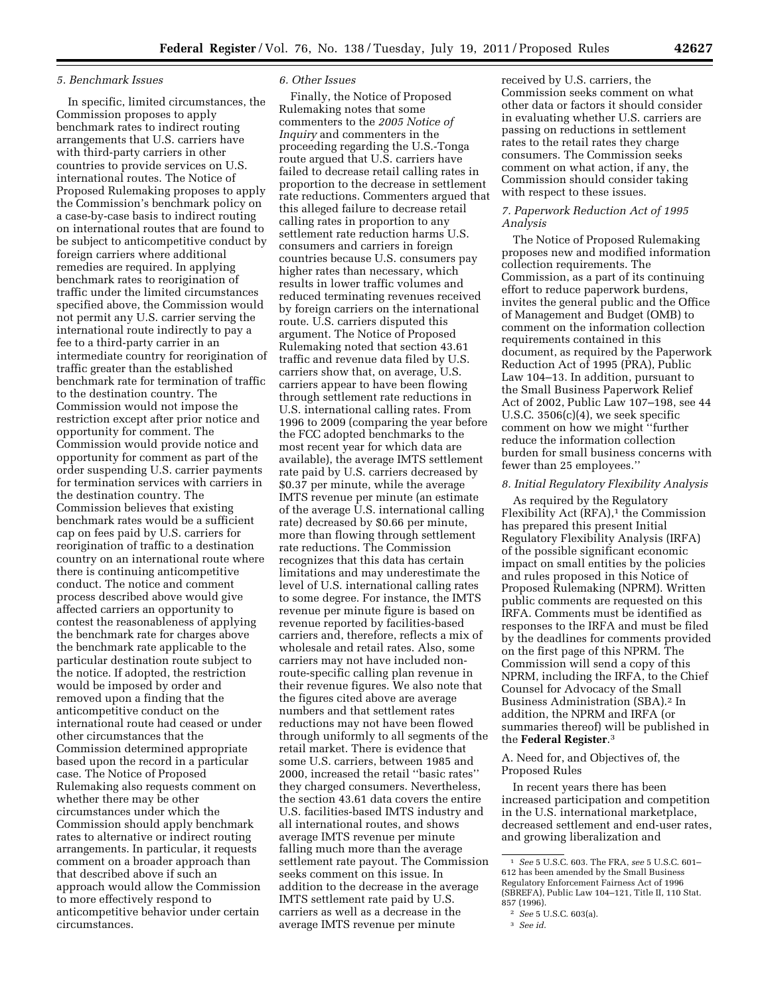# *5. Benchmark Issues*

In specific, limited circumstances, the Commission proposes to apply benchmark rates to indirect routing arrangements that U.S. carriers have with third-party carriers in other countries to provide services on U.S. international routes. The Notice of Proposed Rulemaking proposes to apply the Commission's benchmark policy on a case-by-case basis to indirect routing on international routes that are found to be subject to anticompetitive conduct by foreign carriers where additional remedies are required. In applying benchmark rates to reorigination of traffic under the limited circumstances specified above, the Commission would not permit any U.S. carrier serving the international route indirectly to pay a fee to a third-party carrier in an intermediate country for reorigination of traffic greater than the established benchmark rate for termination of traffic to the destination country. The Commission would not impose the restriction except after prior notice and opportunity for comment. The Commission would provide notice and opportunity for comment as part of the order suspending U.S. carrier payments for termination services with carriers in the destination country. The Commission believes that existing benchmark rates would be a sufficient cap on fees paid by U.S. carriers for reorigination of traffic to a destination country on an international route where there is continuing anticompetitive conduct. The notice and comment process described above would give affected carriers an opportunity to contest the reasonableness of applying the benchmark rate for charges above the benchmark rate applicable to the particular destination route subject to the notice. If adopted, the restriction would be imposed by order and removed upon a finding that the anticompetitive conduct on the international route had ceased or under other circumstances that the Commission determined appropriate based upon the record in a particular case. The Notice of Proposed Rulemaking also requests comment on whether there may be other circumstances under which the Commission should apply benchmark rates to alternative or indirect routing arrangements. In particular, it requests comment on a broader approach than that described above if such an approach would allow the Commission to more effectively respond to anticompetitive behavior under certain circumstances.

## *6. Other Issues*

Finally, the Notice of Proposed Rulemaking notes that some commenters to the *2005 Notice of Inquiry* and commenters in the proceeding regarding the U.S.-Tonga route argued that U.S. carriers have failed to decrease retail calling rates in proportion to the decrease in settlement rate reductions. Commenters argued that this alleged failure to decrease retail calling rates in proportion to any settlement rate reduction harms U.S. consumers and carriers in foreign countries because U.S. consumers pay higher rates than necessary, which results in lower traffic volumes and reduced terminating revenues received by foreign carriers on the international route. U.S. carriers disputed this argument. The Notice of Proposed Rulemaking noted that section 43.61 traffic and revenue data filed by U.S. carriers show that, on average, U.S. carriers appear to have been flowing through settlement rate reductions in U.S. international calling rates. From 1996 to 2009 (comparing the year before the FCC adopted benchmarks to the most recent year for which data are available), the average IMTS settlement rate paid by U.S. carriers decreased by \$0.37 per minute, while the average IMTS revenue per minute (an estimate of the average U.S. international calling rate) decreased by \$0.66 per minute, more than flowing through settlement rate reductions. The Commission recognizes that this data has certain limitations and may underestimate the level of U.S. international calling rates to some degree. For instance, the IMTS revenue per minute figure is based on revenue reported by facilities-based carriers and, therefore, reflects a mix of wholesale and retail rates. Also, some carriers may not have included nonroute-specific calling plan revenue in their revenue figures. We also note that the figures cited above are average numbers and that settlement rates reductions may not have been flowed through uniformly to all segments of the retail market. There is evidence that some U.S. carriers, between 1985 and 2000, increased the retail ''basic rates'' they charged consumers. Nevertheless, the section 43.61 data covers the entire U.S. facilities-based IMTS industry and all international routes, and shows average IMTS revenue per minute falling much more than the average settlement rate payout. The Commission seeks comment on this issue. In addition to the decrease in the average IMTS settlement rate paid by U.S. carriers as well as a decrease in the average IMTS revenue per minute

received by U.S. carriers, the Commission seeks comment on what other data or factors it should consider in evaluating whether U.S. carriers are passing on reductions in settlement rates to the retail rates they charge consumers. The Commission seeks comment on what action, if any, the Commission should consider taking with respect to these issues.

# *7. Paperwork Reduction Act of 1995 Analysis*

The Notice of Proposed Rulemaking proposes new and modified information collection requirements. The Commission, as a part of its continuing effort to reduce paperwork burdens, invites the general public and the Office of Management and Budget (OMB) to comment on the information collection requirements contained in this document, as required by the Paperwork Reduction Act of 1995 (PRA), Public Law 104–13. In addition, pursuant to the Small Business Paperwork Relief Act of 2002, Public Law 107–198, see 44 U.S.C.  $3506(c)(4)$ , we seek specific comment on how we might ''further reduce the information collection burden for small business concerns with fewer than 25 employees.''

## *8. Initial Regulatory Flexibility Analysis*

As required by the Regulatory Flexibility Act  $(RFA)$ ,<sup>1</sup> the Commission has prepared this present Initial Regulatory Flexibility Analysis (IRFA) of the possible significant economic impact on small entities by the policies and rules proposed in this Notice of Proposed Rulemaking (NPRM). Written public comments are requested on this IRFA. Comments must be identified as responses to the IRFA and must be filed by the deadlines for comments provided on the first page of this NPRM. The Commission will send a copy of this NPRM, including the IRFA, to the Chief Counsel for Advocacy of the Small Business Administration (SBA).2 In addition, the NPRM and IRFA (or summaries thereof) will be published in the **Federal Register**.3

A. Need for, and Objectives of, the Proposed Rules

In recent years there has been increased participation and competition in the U.S. international marketplace, decreased settlement and end-user rates, and growing liberalization and

<sup>1</sup> *See* 5 U.S.C. 603. The FRA, *see* 5 U.S.C. 601– 612 has been amended by the Small Business Regulatory Enforcement Fairness Act of 1996 (SBREFA), Public Law 104–121, Title II, 110 Stat. 857 (1996).

<sup>2</sup> *See* 5 U.S.C. 603(a).

<sup>3</sup> *See id*.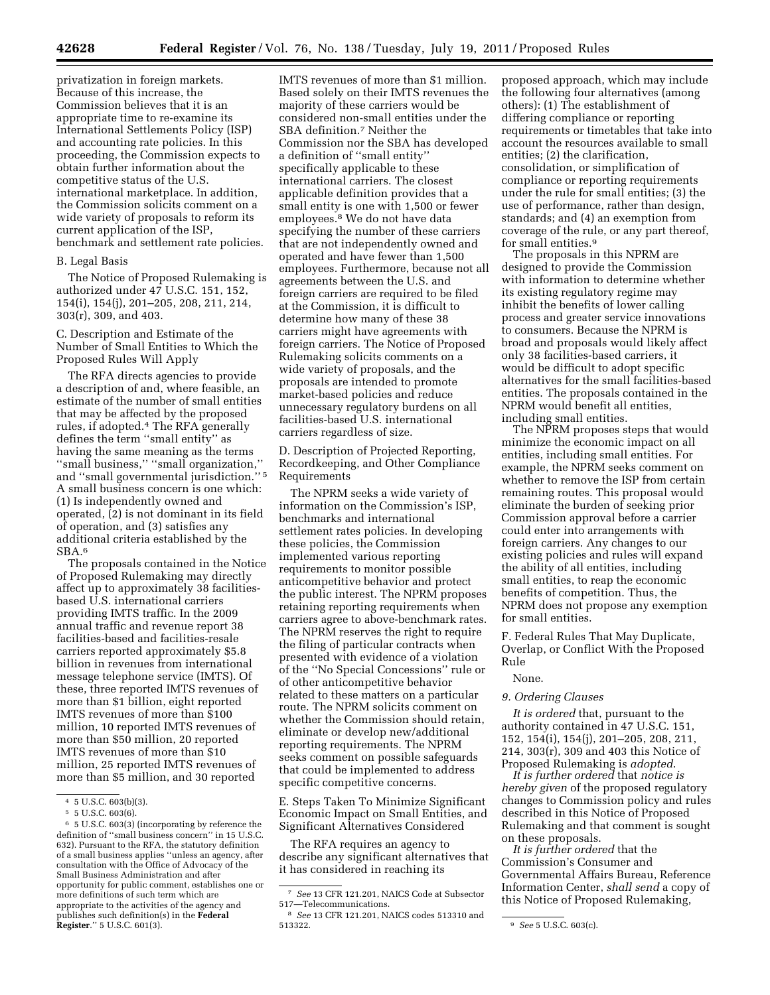privatization in foreign markets. Because of this increase, the Commission believes that it is an appropriate time to re-examine its International Settlements Policy (ISP) and accounting rate policies. In this proceeding, the Commission expects to obtain further information about the competitive status of the U.S. international marketplace. In addition, the Commission solicits comment on a wide variety of proposals to reform its current application of the ISP, benchmark and settlement rate policies.

### B. Legal Basis

The Notice of Proposed Rulemaking is authorized under 47 U.S.C. 151, 152, 154(i), 154(j), 201–205, 208, 211, 214, 303(r), 309, and 403.

C. Description and Estimate of the Number of Small Entities to Which the Proposed Rules Will Apply

The RFA directs agencies to provide a description of and, where feasible, an estimate of the number of small entities that may be affected by the proposed rules, if adopted.4 The RFA generally defines the term ''small entity'' as having the same meaning as the terms ''small business,'' ''small organization,'' and ''small governmental jurisdiction.'' 5 A small business concern is one which: (1) Is independently owned and operated, (2) is not dominant in its field of operation, and (3) satisfies any additional criteria established by the SBA.6

The proposals contained in the Notice of Proposed Rulemaking may directly affect up to approximately 38 facilitiesbased U.S. international carriers providing IMTS traffic. In the 2009 annual traffic and revenue report 38 facilities-based and facilities-resale carriers reported approximately \$5.8 billion in revenues from international message telephone service (IMTS). Of these, three reported IMTS revenues of more than \$1 billion, eight reported IMTS revenues of more than \$100 million, 10 reported IMTS revenues of more than \$50 million, 20 reported IMTS revenues of more than \$10 million, 25 reported IMTS revenues of more than \$5 million, and 30 reported

IMTS revenues of more than \$1 million. Based solely on their IMTS revenues the majority of these carriers would be considered non-small entities under the SBA definition.7 Neither the Commission nor the SBA has developed a definition of ''small entity'' specifically applicable to these international carriers. The closest applicable definition provides that a small entity is one with 1,500 or fewer employees.8 We do not have data specifying the number of these carriers that are not independently owned and operated and have fewer than 1,500 employees. Furthermore, because not all agreements between the U.S. and foreign carriers are required to be filed at the Commission, it is difficult to determine how many of these 38 carriers might have agreements with foreign carriers. The Notice of Proposed Rulemaking solicits comments on a wide variety of proposals, and the proposals are intended to promote market-based policies and reduce unnecessary regulatory burdens on all facilities-based U.S. international carriers regardless of size.

D. Description of Projected Reporting, Recordkeeping, and Other Compliance Requirements

The NPRM seeks a wide variety of information on the Commission's ISP, benchmarks and international settlement rates policies. In developing these policies, the Commission implemented various reporting requirements to monitor possible anticompetitive behavior and protect the public interest. The NPRM proposes retaining reporting requirements when carriers agree to above-benchmark rates. The NPRM reserves the right to require the filing of particular contracts when presented with evidence of a violation of the ''No Special Concessions'' rule or of other anticompetitive behavior related to these matters on a particular route. The NPRM solicits comment on whether the Commission should retain, eliminate or develop new/additional reporting requirements. The NPRM seeks comment on possible safeguards that could be implemented to address specific competitive concerns.

E. Steps Taken To Minimize Significant Economic Impact on Small Entities, and Significant Alternatives Considered

The RFA requires an agency to describe any significant alternatives that it has considered in reaching its

proposed approach, which may include the following four alternatives (among others): (1) The establishment of differing compliance or reporting requirements or timetables that take into account the resources available to small entities; (2) the clarification, consolidation, or simplification of compliance or reporting requirements under the rule for small entities; (3) the use of performance, rather than design, standards; and (4) an exemption from coverage of the rule, or any part thereof, for small entities.9

The proposals in this NPRM are designed to provide the Commission with information to determine whether its existing regulatory regime may inhibit the benefits of lower calling process and greater service innovations to consumers. Because the NPRM is broad and proposals would likely affect only 38 facilities-based carriers, it would be difficult to adopt specific alternatives for the small facilities-based entities. The proposals contained in the NPRM would benefit all entities, including small entities.

The NPRM proposes steps that would minimize the economic impact on all entities, including small entities. For example, the NPRM seeks comment on whether to remove the ISP from certain remaining routes. This proposal would eliminate the burden of seeking prior Commission approval before a carrier could enter into arrangements with foreign carriers. Any changes to our existing policies and rules will expand the ability of all entities, including small entities, to reap the economic benefits of competition. Thus, the NPRM does not propose any exemption for small entities.

F. Federal Rules That May Duplicate, Overlap, or Conflict With the Proposed Rule

#### None.

### *9. Ordering Clauses*

*It is ordered* that, pursuant to the authority contained in 47 U.S.C. 151, 152, 154(i), 154(j), 201–205, 208, 211, 214, 303(r), 309 and 403 this Notice of Proposed Rulemaking is *adopted*.

*It is further ordered* that *notice is hereby given* of the proposed regulatory changes to Commission policy and rules described in this Notice of Proposed Rulemaking and that comment is sought on these proposals.

*It is further ordered* that the Commission's Consumer and Governmental Affairs Bureau, Reference Information Center, *shall send* a copy of this Notice of Proposed Rulemaking,

<sup>4</sup> 5 U.S.C. 603(b)(3).

<sup>5</sup> 5 U.S.C. 603(6).

<sup>6</sup> 5 U.S.C. 603(3) (incorporating by reference the definition of ''small business concern'' in 15 U.S.C. 632). Pursuant to the RFA, the statutory definition of a small business applies ''unless an agency, after consultation with the Office of Advocacy of the Small Business Administration and after opportunity for public comment, establishes one or more definitions of such term which are appropriate to the activities of the agency and publishes such definition(s) in the **Federal Register**.'' 5 U.S.C. 601(3).

<sup>7</sup> *See* 13 CFR 121.201, NAICS Code at Subsector 517—Telecommunications.

<sup>8</sup> *See* 13 CFR 121.201, NAICS codes 513310 and

<sup>&</sup>lt;sup>9</sup> *See* 5 U.S.C. 603(c).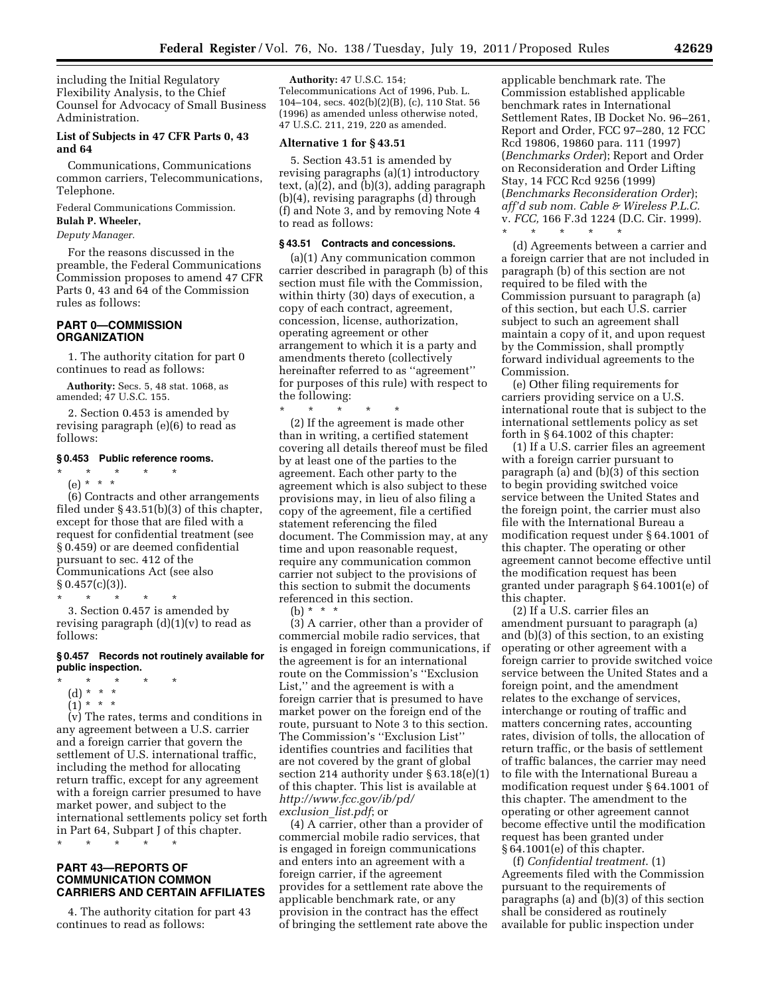including the Initial Regulatory Flexibility Analysis, to the Chief Counsel for Advocacy of Small Business Administration.

# **List of Subjects in 47 CFR Parts 0, 43 and 64**

Communications, Communications common carriers, Telecommunications, Telephone.

Federal Communications Commission.

# **Bulah P. Wheeler,**

*Deputy Manager.* 

For the reasons discussed in the preamble, the Federal Communications Commission proposes to amend 47 CFR Parts 0, 43 and 64 of the Commission rules as follows:

# **PART 0—COMMISSION ORGANIZATION**

1. The authority citation for part 0 continues to read as follows:

**Authority:** Secs. 5, 48 stat. 1068, as amended; 47 U.S.C. 155.

2. Section 0.453 is amended by revising paragraph (e)(6) to read as follows:

#### **§ 0.453 Public reference rooms.**

\* \* \* \* \*

(e) \* \* \* (6) Contracts and other arrangements filed under § 43.51(b)(3) of this chapter, except for those that are filed with a request for confidential treatment (see § 0.459) or are deemed confidential pursuant to sec. 412 of the Communications Act (see also  $§ 0.457(c)(3)$ .

\* \* \* \* \*

3. Section 0.457 is amended by revising paragraph  $(d)(1)(v)$  to read as follows:

### **§ 0.457 Records not routinely available for public inspection.**

- \* \* \* \* \*
- (d) \* \* \*
- $(1) * * * *$

(v) The rates, terms and conditions in any agreement between a U.S. carrier and a foreign carrier that govern the settlement of U.S. international traffic, including the method for allocating return traffic, except for any agreement with a foreign carrier presumed to have market power, and subject to the international settlements policy set forth in Part 64, Subpart J of this chapter.

\* \* \* \* \*

# **PART 43—REPORTS OF COMMUNICATION COMMON CARRIERS AND CERTAIN AFFILIATES**

4. The authority citation for part 43 continues to read as follows:

**Authority:** 47 U.S.C. 154; Telecommunications Act of 1996, Pub. L. 104–104, secs. 402(b)(2)(B), (c), 110 Stat. 56 (1996) as amended unless otherwise noted, 47 U.S.C. 211, 219, 220 as amended.

# **Alternative 1 for § 43.51**

5. Section 43.51 is amended by revising paragraphs (a)(1) introductory text, (a)(2), and (b)(3), adding paragraph (b)(4), revising paragraphs (d) through (f) and Note 3, and by removing Note 4 to read as follows:

#### **§ 43.51 Contracts and concessions.**

(a)(1) Any communication common carrier described in paragraph (b) of this section must file with the Commission, within thirty (30) days of execution, a copy of each contract, agreement, concession, license, authorization, operating agreement or other arrangement to which it is a party and amendments thereto (collectively hereinafter referred to as ''agreement'' for purposes of this rule) with respect to the following:  $\frac{1}{x}$ 

\* \* \* \* \*

(2) If the agreement is made other than in writing, a certified statement covering all details thereof must be filed by at least one of the parties to the agreement. Each other party to the agreement which is also subject to these provisions may, in lieu of also filing a copy of the agreement, file a certified statement referencing the filed document. The Commission may, at any time and upon reasonable request, require any communication common carrier not subject to the provisions of this section to submit the documents referenced in this section.

(b) \* \* \*

(3) A carrier, other than a provider of commercial mobile radio services, that is engaged in foreign communications, if the agreement is for an international route on the Commission's ''Exclusion List,'' and the agreement is with a foreign carrier that is presumed to have market power on the foreign end of the route, pursuant to Note 3 to this section. The Commission's ''Exclusion List'' identifies countries and facilities that are not covered by the grant of global section 214 authority under § 63.18(e)(1) of this chapter. This list is available at *http://www.fcc.gov/ib/pd/ exclusion*\_*list.pdf*; or

(4) A carrier, other than a provider of commercial mobile radio services, that is engaged in foreign communications and enters into an agreement with a foreign carrier, if the agreement provides for a settlement rate above the applicable benchmark rate, or any provision in the contract has the effect of bringing the settlement rate above the applicable benchmark rate. The Commission established applicable benchmark rates in International Settlement Rates, IB Docket No. 96–261, Report and Order, FCC 97–280, 12 FCC Rcd 19806, 19860 para. 111 (1997) (*Benchmarks Order*); Report and Order on Reconsideration and Order Lifting Stay, 14 FCC Rcd 9256 (1999) (*Benchmarks Reconsideration Order*); *aff'd sub nom. Cable & Wireless P.L.C.*  v. *FCC,* 166 F.3d 1224 (D.C. Cir. 1999). \* \* \* \* \*

(d) Agreements between a carrier and a foreign carrier that are not included in paragraph (b) of this section are not required to be filed with the Commission pursuant to paragraph (a) of this section, but each U.S. carrier subject to such an agreement shall maintain a copy of it, and upon request by the Commission, shall promptly forward individual agreements to the Commission.

(e) Other filing requirements for carriers providing service on a U.S. international route that is subject to the international settlements policy as set forth in § 64.1002 of this chapter:

(1) If a U.S. carrier files an agreement with a foreign carrier pursuant to paragraph (a) and (b)(3) of this section to begin providing switched voice service between the United States and the foreign point, the carrier must also file with the International Bureau a modification request under § 64.1001 of this chapter. The operating or other agreement cannot become effective until the modification request has been granted under paragraph § 64.1001(e) of this chapter.

(2) If a U.S. carrier files an amendment pursuant to paragraph (a) and (b)(3) of this section, to an existing operating or other agreement with a foreign carrier to provide switched voice service between the United States and a foreign point, and the amendment relates to the exchange of services, interchange or routing of traffic and matters concerning rates, accounting rates, division of tolls, the allocation of return traffic, or the basis of settlement of traffic balances, the carrier may need to file with the International Bureau a modification request under § 64.1001 of this chapter. The amendment to the operating or other agreement cannot become effective until the modification request has been granted under § 64.1001(e) of this chapter.

(f) *Confidential treatment*. (1) Agreements filed with the Commission pursuant to the requirements of paragraphs (a) and (b)(3) of this section shall be considered as routinely available for public inspection under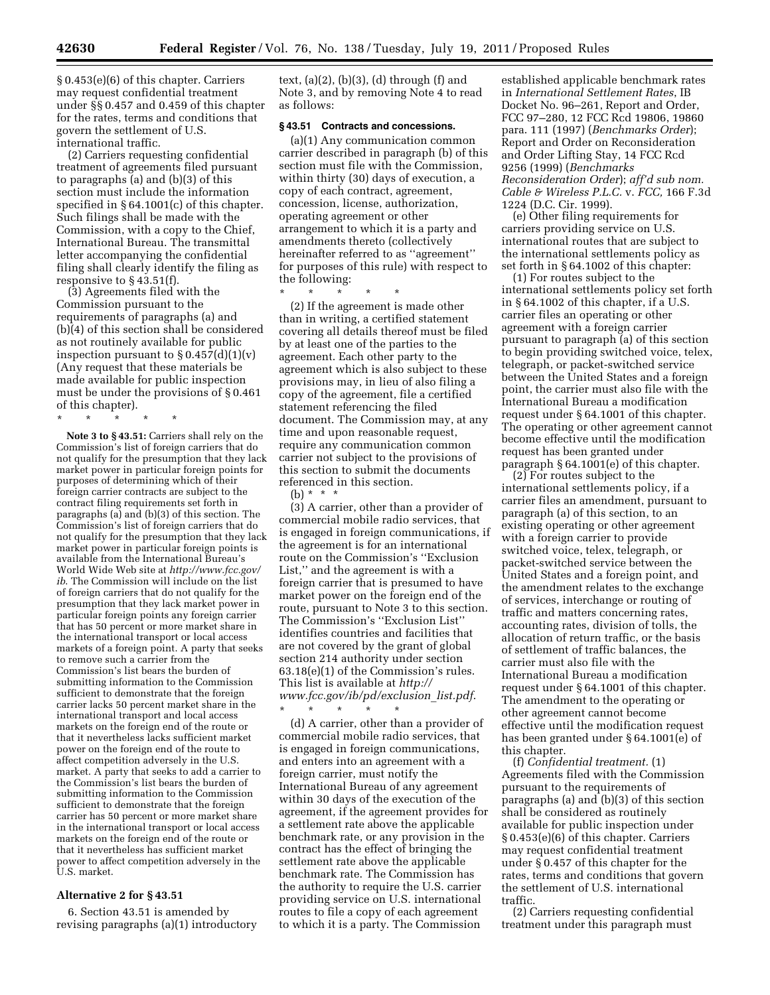§ 0.453(e)(6) of this chapter. Carriers may request confidential treatment under §§ 0.457 and 0.459 of this chapter for the rates, terms and conditions that govern the settlement of U.S. international traffic.

(2) Carriers requesting confidential treatment of agreements filed pursuant to paragraphs (a) and (b)(3) of this section must include the information specified in §64.1001(c) of this chapter. Such filings shall be made with the Commission, with a copy to the Chief, International Bureau. The transmittal letter accompanying the confidential filing shall clearly identify the filing as responsive to § 43.51(f).

(3) Agreements filed with the Commission pursuant to the requirements of paragraphs (a) and (b)(4) of this section shall be considered as not routinely available for public inspection pursuant to  $\S 0.457(d)(1)(v)$ (Any request that these materials be made available for public inspection must be under the provisions of § 0.461 of this chapter).

\* \* \* \* \*

**Note 3 to § 43.51:** Carriers shall rely on the Commission's list of foreign carriers that do not qualify for the presumption that they lack market power in particular foreign points for purposes of determining which of their foreign carrier contracts are subject to the contract filing requirements set forth in paragraphs (a) and (b)(3) of this section. The Commission's list of foreign carriers that do not qualify for the presumption that they lack market power in particular foreign points is available from the International Bureau's World Wide Web site at *http://www.fcc.gov/ ib*. The Commission will include on the list of foreign carriers that do not qualify for the presumption that they lack market power in particular foreign points any foreign carrier that has 50 percent or more market share in the international transport or local access markets of a foreign point. A party that seeks to remove such a carrier from the Commission's list bears the burden of submitting information to the Commission sufficient to demonstrate that the foreign carrier lacks 50 percent market share in the international transport and local access markets on the foreign end of the route or that it nevertheless lacks sufficient market power on the foreign end of the route to affect competition adversely in the U.S. market. A party that seeks to add a carrier to the Commission's list bears the burden of submitting information to the Commission sufficient to demonstrate that the foreign carrier has 50 percent or more market share in the international transport or local access markets on the foreign end of the route or that it nevertheless has sufficient market power to affect competition adversely in the U.S. market.

## **Alternative 2 for § 43.51**

6. Section 43.51 is amended by revising paragraphs (a)(1) introductory

text,  $(a)(2)$ ,  $(b)(3)$ ,  $(d)$  through  $(f)$  and Note 3, and by removing Note 4 to read as follows:

## **§ 43.51 Contracts and concessions.**

(a)(1) Any communication common carrier described in paragraph (b) of this section must file with the Commission, within thirty (30) days of execution, a copy of each contract, agreement, concession, license, authorization, operating agreement or other arrangement to which it is a party and amendments thereto (collectively hereinafter referred to as ''agreement'' for purposes of this rule) with respect to the following:

\* \* \* \* \*

(2) If the agreement is made other than in writing, a certified statement covering all details thereof must be filed by at least one of the parties to the agreement. Each other party to the agreement which is also subject to these provisions may, in lieu of also filing a copy of the agreement, file a certified statement referencing the filed document. The Commission may, at any time and upon reasonable request, require any communication common carrier not subject to the provisions of this section to submit the documents referenced in this section.

(b)  $* * * *$ 

(3) A carrier, other than a provider of commercial mobile radio services, that is engaged in foreign communications, if the agreement is for an international route on the Commission's ''Exclusion List,'' and the agreement is with a foreign carrier that is presumed to have market power on the foreign end of the route, pursuant to Note 3 to this section. The Commission's ''Exclusion List'' identifies countries and facilities that are not covered by the grant of global section 214 authority under section 63.18(e)(1) of the Commission's rules. This list is available at *http:// www.fcc.gov/ib/pd/exclusion*\_*list.pdf*. \* \* \* \* \*

(d) A carrier, other than a provider of commercial mobile radio services, that is engaged in foreign communications, and enters into an agreement with a foreign carrier, must notify the International Bureau of any agreement within 30 days of the execution of the agreement, if the agreement provides for a settlement rate above the applicable benchmark rate, or any provision in the contract has the effect of bringing the settlement rate above the applicable benchmark rate. The Commission has the authority to require the U.S. carrier providing service on U.S. international routes to file a copy of each agreement to which it is a party. The Commission

established applicable benchmark rates in *International Settlement Rates*, IB Docket No. 96–261, Report and Order, FCC 97–280, 12 FCC Rcd 19806, 19860 para. 111 (1997) (*Benchmarks Order*); Report and Order on Reconsideration and Order Lifting Stay, 14 FCC Rcd 9256 (1999) (*Benchmarks Reconsideration Order*); *aff'd sub nom. Cable & Wireless P.L.C.* v. *FCC,* 166 F.3d 1224 (D.C. Cir. 1999).

(e) Other filing requirements for carriers providing service on U.S. international routes that are subject to the international settlements policy as set forth in § 64.1002 of this chapter:

(1) For routes subject to the international settlements policy set forth in § 64.1002 of this chapter, if a U.S. carrier files an operating or other agreement with a foreign carrier pursuant to paragraph (a) of this section to begin providing switched voice, telex, telegraph, or packet-switched service between the United States and a foreign point, the carrier must also file with the International Bureau a modification request under § 64.1001 of this chapter. The operating or other agreement cannot become effective until the modification request has been granted under paragraph § 64.1001(e) of this chapter.

(2) For routes subject to the international settlements policy, if a carrier files an amendment, pursuant to paragraph (a) of this section, to an existing operating or other agreement with a foreign carrier to provide switched voice, telex, telegraph, or packet-switched service between the United States and a foreign point, and the amendment relates to the exchange of services, interchange or routing of traffic and matters concerning rates, accounting rates, division of tolls, the allocation of return traffic, or the basis of settlement of traffic balances, the carrier must also file with the International Bureau a modification request under § 64.1001 of this chapter. The amendment to the operating or other agreement cannot become effective until the modification request has been granted under § 64.1001(e) of this chapter.

(f) *Confidential treatment.* (1) Agreements filed with the Commission pursuant to the requirements of paragraphs (a) and (b)(3) of this section shall be considered as routinely available for public inspection under § 0.453(e)(6) of this chapter. Carriers may request confidential treatment under § 0.457 of this chapter for the rates, terms and conditions that govern the settlement of U.S. international traffic.

(2) Carriers requesting confidential treatment under this paragraph must